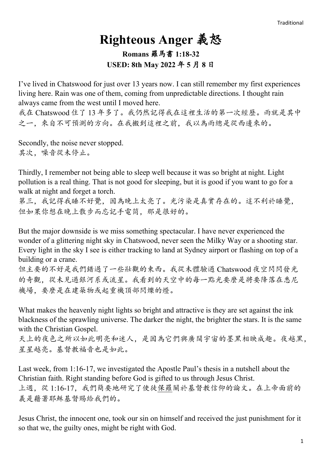## **Righteous Anger** 義怒 **Romans** 羅馬書 **1:18-32 USED: 8th May 2022** 年 **5** 月 **8** 日

I've lived in Chatswood for just over 13 years now. I can still remember my first experiences living here. Rain was one of them, coming from unpredictable directions. I thought rain always came from the west until I moved here.

我在 Chatswood 住了 13 年多了。我仍然記得我在這裡生活的第一次經歷。雨就是其中 之一,來自不可預測的方向。在我搬到這裡之前,我以為雨總是從西邊來的。

Secondly, the noise never stopped. 其次,噪音從未停止。

Thirdly, I remember not being able to sleep well because it was so bright at night. Light pollution is a real thing. That is not good for sleeping, but it is good if you want to go for a walk at night and forget a torch.

第三,我記得我睡不好覺,因為晚上太亮了。光污染是真實存在的。這不利於睡覺, 但如果你想在晚上散步而忘記手電筒,那是很好的。

But the major downside is we miss something spectacular. I have never experienced the wonder of a glittering night sky in Chatswood, never seen the Milky Way or a shooting star. Every light in the sky I see is either tracking to land at Sydney airport or flashing on top of a building or a crane.

但主要的不好是我們錯過了一些壯觀的東西。我從未體驗過 Chatswood 夜空閃閃發光 的奇觀,從未見過銀河系或流星。我看到的天空中的每一點光要麼是將要降落在悉尼 機場,要麼是在建築物或起重機頂部閃爍的燈。

What makes the heavenly night lights so bright and attractive is they are set against the ink blackness of the sprawling universe. The darker the night, the brighter the stars. It is the same with the Christian Gospel.

天上的夜色之所以如此明亮和迷人,是因為它們與廣闊宇宙的墨黑相映成趣。夜越黑, 星星越亮。基督教福音也是如此。

Last week, from 1:16-17, we investigated the Apostle Paul's thesis in a nutshell about the Christian faith. Right standing before God is gifted to us through Jesus Christ. 上週,從 1:16-17,我們簡要地研究了使徒保羅關於基督教信仰的論文。在上帝面前的 義是藉著耶穌基督賜給我們的。

Jesus Christ, the innocent one, took our sin on himself and received the just punishment for it so that we, the guilty ones, might be right with God.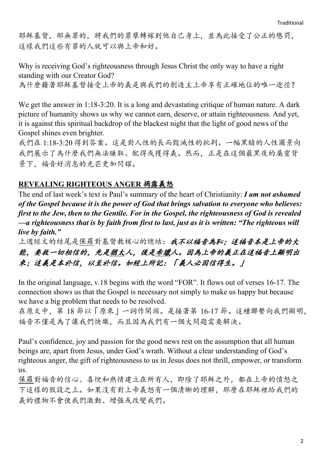耶穌基督,那無罪的,將我們的罪孽轉嫁到他自己身上,並為此接受了公正的懲罰, 這樣我們這些有罪的人就可以與上帝和好。

Why is receiving God's righteousness through Jesus Christ the only way to have a right standing with our Creator God? 為什麼藉著耶穌基督接受上帝的義是與我們的創造主上帝享有正確地位的唯一途徑?

We get the answer in 1:18-3:20. It is a long and devastating critique of human nature. A dark picture of humanity shows us why we cannot earn, deserve, or attain righteousness. And yet, it is against this spiritual backdrop of the blackest night that the light of good news of the Gospel shines even brighter.

我們在 1:18-3:20 得到答案。這是對人性的長而毀滅性的批判。一幅黑暗的人性圖景向 我們展示了為什麼我們無法賺取、配得或獲得義。然而,正是在這個最黑夜的屬靈背 景下,福音好消息的光芒更加閃耀。

## **REVEALING RIGHTEOUS ANGER** 揭露義怒

The end of last week's text is Paul's summary of the heart of Christianity: *I am not ashamed of the Gospel because it is the power of God that brings salvation to everyone who believes: first to the Jew, then to the Gentile. For in the Gospel, the righteousness of God is revealed —a righteousness that is by faith from first to last, just as it is written: "The righteous will live by faith."*

上週經文的結尾是保羅對基督教核心的總結:我不以福音為恥;這福音本是上帝的大 能,要救一切相信的,先是猶太人,後是希臘人。因為上帝的義正在這福音上顯明出 來;這義是本於信,以至於信。如經上所記:「義人必因信得生。」

In the original language, v.18 begins with the word "FOR". It flows out of verses 16-17. The connection shows us that the Gospel is necessary not simply to make us happy but because we have a big problem that needs to be resolved.

在原文中,第 18 節以「原來」一詞作開頭。是接著第 16-17 節。這種聯繫向我們顯明, 福音不僅是為了讓我們快樂,而且因為我們有一個大問題需要解決。

Paul's confidence, joy and passion for the good news rest on the assumption that all human beings are, apart from Jesus, under God's wrath. Without a clear understanding of God's righteous anger, the gift of righteousness to us in Jesus does not thrill, empower, or transform us.

保羅對福音的信心、喜悅和熱情建立在所有人,即除了耶穌之外,都在上帝的憤怒之 下這樣的假設之上。如果沒有對上帝義怒有一個清晰的理解,那麼在耶穌裡給我們的 義的禮物不會使我們激動、增強或改變我們。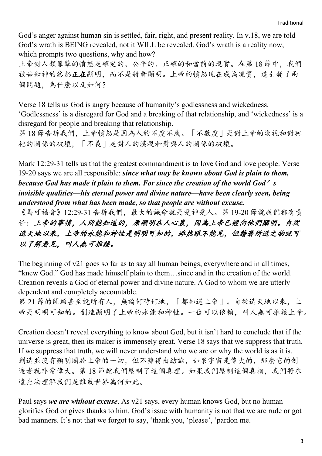God's anger against human sin is settled, fair, right, and present reality. In v.18, we are told God's wrath is BEING revealed, not it WILL be revealed. God's wrath is a reality now, which prompts two questions, why and how?

上帝對人類罪孽的憤怒是確定的、公平的、正確的和當前的現實。在第18節中,我們 被告知神的忿怒正在顯明,而不是將會顯明。上帝的憤怒現在成為現實,這引發了兩 個問題,為什麼以及如何?

Verse 18 tells us God is angry because of humanity's godlessness and wickedness. 'Godlessness' is a disregard for God and a breaking of that relationship, and 'wickedness' is a disregard for people and breaking that relationship.

第 18 節告訴我們,上帝憤怒是因為人的不虔不義。「不敬虔」是對上帝的漠視和對與 祂的關係的破壞,「不義」是對人的漠視和對與人的關係的破壞。

Mark 12:29-31 tells us that the greatest commandment is to love God and love people. Verse 19-20 says we are all responsible: *since what may be known about God is plain to them, because God has made it plain to them. For since the creation of the world God*'*s invisible qualities—his eternal power and divine nature—have been clearly seen, being understood from what has been made, so that people are without excuse.*

《馬可福音》12:29-31 告訴我們,最大的誡命就是愛神愛人。第 19-20 節說我們都有責 任:上帝的事情,人所能知道的,原顯明在人心裏,因為上帝已經向他們顯明。自從 造天地以來,上帝的永能和神性是明明可知的,雖然眼不能見,但藉著所造之物就可 以了解看見,叫人無可推諉。

The beginning of v21 goes so far as to say all human beings, everywhere and in all times, "knew God." God has made himself plain to them…since and in the creation of the world. Creation reveals a God of eternal power and divine nature. A God to whom we are utterly dependent and completely accountable.

第 21 節的開頭甚至說所有人, 無論何時何地, 「都知道上帝」。自從造天地以來, 上 帝是明明可知的。創造顯明了上帝的永能和神性。一位可以依賴,叫人無可推諉上帝。

Creation doesn't reveal everything to know about God, but it isn't hard to conclude that if the universe is great, then its maker is immensely great. Verse 18 says that we suppress that truth. If we suppress that truth, we will never understand who we are or why the world is as it is. 創造並沒有顯明關於上帝的一切,但不難得出結論,如果宇宙是偉大的,那麼它的創 造者就非常偉大。第 18 節說我們壓制了這個真理。如果我們壓制這個真相,我們將永 遠無法理解我們是誰或世界為何如此。

Paul says *we are without excuse*. As v21 says, every human knows God, but no human glorifies God or gives thanks to him. God's issue with humanity is not that we are rude or got bad manners. It's not that we forgot to say, 'thank you, 'please', 'pardon me.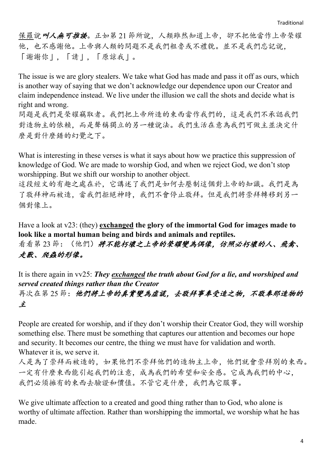保羅說叫人無可推諉。正如第 21 節所說,人類雖然知道上帝,卻不把他當作上帝榮耀 他,也不感謝他。上帝與人類的問題不是我們粗魯或不禮貌。並不是我們忘記說, 「謝謝你」,「請」,「原諒我」。

The issue is we are glory stealers. We take what God has made and pass it off as ours, which is another way of saying that we don't acknowledge our dependence upon our Creator and claim independence instead. We live under the illusion we call the shots and decide what is right and wrong.

問題是我們是榮耀竊取者。我們把上帝所造的東西當作我們的,這是我們不承認我們 對造物主的依賴,而是聲稱獨立的另一種說法。我們生活在意為我們可做主並決定什 麼是對什麼錯的幻覺之下。

What is interesting in these verses is what it says about how we practice this suppression of knowledge of God. We are made to worship God, and when we reject God, we don't stop worshipping. But we shift our worship to another object.

這段經文的有趣之處在於,它講述了我們是如何去壓制這個對上帝的知識。我們是為 了敬拜神而被造,當我們拒絕神時,我們不會停止敬拜。但是我們將崇拜轉移到另一 個對像上。

Have a look at v23: (they) **exchanged the glory of the immortal God for images made to look like a mortal human being and birds and animals and reptiles.**

看看第 23節: (他們) 將不能朽壞之上帝的榮耀變為偶像, 仿照必朽壞的人、飛禽、 走獸、爬蟲的形像。

It is there again in vv25: *They exchanged the truth about God for a lie, and worshiped and served created things rather than the Creator* 再次在第 25 節:他們將上帝的真實變為虛謊,去敬拜事奉受造之物,不敬奉那造物的 主

People are created for worship, and if they don't worship their Creator God, they will worship something else. There must be something that captures our attention and becomes our hope and security. It becomes our centre, the thing we must have for validation and worth. Whatever it is, we serve it.

人是為了崇拜而被造的,如果他們不崇拜他們的造物主上帝,他們就會崇拜別的東西。 一定有什麼東西能引起我們的注意,成為我們的希望和安全感。它成為我們的中心, 我們必須擁有的東西去驗證和價值。不管它是什麼,我們為它服事。

We give ultimate affection to a created and good thing rather than to God, who alone is worthy of ultimate affection. Rather than worshipping the immortal, we worship what he has made.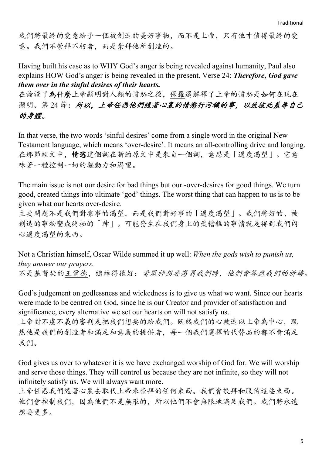我們將最終的愛意給予一個被創造的美好事物,而不是上帝,只有他才值得最終的愛 意。我們不崇拜不朽者,而是崇拜他所創造的。

Having built his case as to WHY God's anger is being revealed against humanity, Paul also explains HOW God's anger is being revealed in the present. Verse 24: *Therefore, God gave them over in the sinful desires of their hearts.*

在論證了為什麼上帝顯明對人類的憤怒之後,保羅還解釋了上帝的憤怒是如何在現在 顯明。第24節:所以,上帝任憑他們隨著心裏的情慾行污穢的事,以致彼此羞辱自己 的身體。

In that verse, the two words 'sinful desires' come from a single word in the original New Testament language, which means 'over-desire'. It means an all-controlling drive and longing. 在那節經文中,情慾這個詞在新約原文中是來自一個詞,意思是「過度渴望」。它意 味著一種控制一切的驅動力和渴望。

The main issue is not our desire for bad things but our -over-desires for good things. We turn good, created things into ultimate 'god' things. The worst thing that can happen to us is to be given what our hearts over-desire.

主要問題不是我們對壞事的渴望,而是我們對好事的「過度渴望」。我們將好的、被 創造的事物變成終極的「神」。可能發生在我們身上的最糟糕的事情就是得到我們內 心過度渴望的東西。

Not a Christian himself, Oscar Wilde summed it up well: *When the gods wish to punish us, they answer our prayers.*  不是基督徒的王爾德,總結得很好:當眾神想要懲罰我們時,他們會答應我們的祈禱。

God's judgement on godlessness and wickedness is to give us what we want. Since our hearts were made to be centred on God, since he is our Creator and provider of satisfaction and significance, every alternative we set our hearts on will not satisfy us.

上帝對不虔不義的審判是把我們想要的給我們。既然我們的心被造以上帝為中心,既 然他是我們的創造者和滿足和意義的提供者,每一個我們選擇的代替品的都不會滿足 我們。

God gives us over to whatever it is we have exchanged worship of God for. We will worship and serve those things. They will control us because they are not infinite, so they will not infinitely satisfy us. We will always want more.

上帝任憑我們隨著心裏去取代上帝來崇拜的任何東西。我們會敬拜和服侍這些東西。 他們會控制我們,因為他們不是無限的,所以他們不會無限地滿足我們。我們將永遠 想要更多。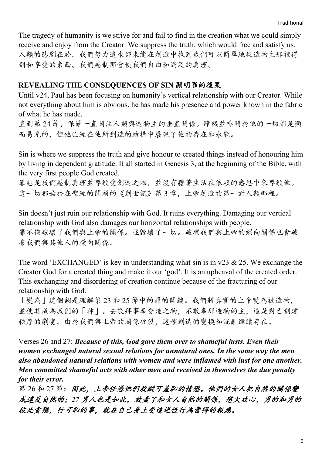The tragedy of humanity is we strive for and fail to find in the creation what we could simply receive and enjoy from the Creator. We suppress the truth, which would free and satisfy us. 人類的悲劇在於,我們努力追求卻未能在創造中找到我們可以簡單地從造物主那裡得 到和享受的東西。我們壓制那會使我們自由和滿足的真理。

## **REVEALING THE CONSEQUENCES OF SIN** 顯明罪的後果

Until v24, Paul has been focusing on humanity's vertical relationship with our Creator. While not everything about him is obvious, he has made his presence and power known in the fabric of what he has made.

直到第 24 節,保羅一直關注人類與造物主的垂直關係。雖然並非關於他的一切都是顯 而易見的,但他已經在他所創造的結構中展現了他的存在和永能。

Sin is where we suppress the truth and give honour to created things instead of honouring him by living in dependent gratitude. It all started in Genesis 3, at the beginning of the Bible, with the very first people God created.

罪惡是我們壓制真理並尊敬受創造之物,並沒有藉著生活在依賴的感恩中來尊敬他。 這一切都始於在聖經的開頭的《創世記》第 3 章,上帝創造的第一對人類那裡。

Sin doesn't just ruin our relationship with God. It ruins everything. Damaging our vertical relationship with God also damages our horizontal relationships with people. 罪不僅破壞了我們與上帝的關係。並毀壞了一切。破壞我們與上帝的縱向關係也會破 壞我們與其他人的橫向關係。

The word 'EXCHANGED' is key in understanding what sin is in v23 & 25. We exchange the Creator God for a created thing and make it our 'god'. It is an upheaval of the created order. This exchanging and disordering of creation continue because of the fracturing of our relationship with God.

「變為」這個詞是理解第 23 和 25 節中的罪的關鍵。我們將真實的上帝變為被造物, 並使其成為我們的「神」。去敬拜事奉受造之物,不敬奉那造物的主,這是對已創建 秩序的劇變。由於我們與上帝的關係破裂,這種創造的變換和混亂繼續存在。

Verses 26 and 27: *Because of this, God gave them over to shameful lusts. Even their women exchanged natural sexual relations for unnatural ones. In the same way the men also abandoned natural relations with women and were inflamed with lust for one another. Men committed shameful acts with other men and received in themselves the due penalty for their error.*

第 26 和 27 節: 因此,上帝任憑他們放縱可羞恥的情慾。他們的女人把自然的關係變 成違反自然的;*27* 男人也是如此,放棄了和女人自然的關係,慾火攻心,男的和男的 彼此貪戀,行可恥的事,就在自己身上受這逆性行為當得的報應。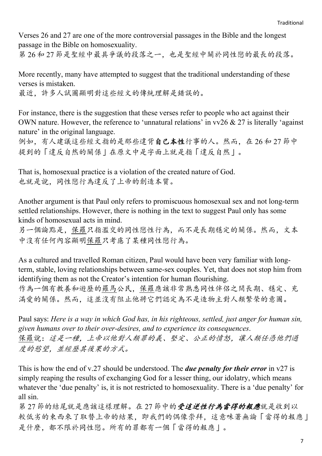Verses 26 and 27 are one of the more controversial passages in the Bible and the longest passage in the Bible on homosexuality.

第 26 和 27 節是聖經中最具爭議的段落之一,也是聖經中關於同性戀的最長的段落。

More recently, many have attempted to suggest that the traditional understanding of these verses is mistaken.

最近,許多人試圖顯明對這些經文的傳統理解是錯誤的。

For instance, there is the suggestion that these verses refer to people who act against their OWN nature. However, the reference to 'unnatural relations' in  $vv26 \& 27$  is literally 'against nature' in the original language.

例如,有人建議這些經文指的是那些違背自己本性行事的人。然而,在 26和 27 節中 提到的「違反自然的關係」在原文中是字面上就是指「違反自然」。

That is, homosexual practice is a violation of the created nature of God. 也就是說,同性戀行為違反了上帝的創造本質。

Another argument is that Paul only refers to promiscuous homosexual sex and not long-term settled relationships. However, there is nothing in the text to suggest Paul only has some kinds of homosexual acts in mind.

另一個論點是,保羅只指濫交的同性戀性行為,而不是長期穩定的關係。然而,文本 中沒有任何內容顯明保羅只考慮了某種同性戀行為。

As a cultured and travelled Roman citizen, Paul would have been very familiar with longterm, stable, loving relationships between same-sex couples. Yet, that does not stop him from identifying them as not the Creator's intention for human flourishing. 作為一個有教養和遊歷的羅馬公民,保羅應該非常熟悉同性伴侶之間長期、穩定、充 滿愛的關係。然而,這並沒有阻止他將它們認定為不是造物主對人類繁榮的意圖。

Paul says: *Here is a way in which God has, in his righteous, settled, just anger for human sin, given humans over to their over-desires, and to experience its consequences*. 保羅說:這是一種,上帝以他對人類罪的義、堅定、公正的憤怒,讓人類任憑他們過 度的慾望,並經歷其後果的方式。

This is how the end of v.27 should be understood. The *due penalty for their error* in v27 is simply reaping the results of exchanging God for a lesser thing, our idolatry, which means whatever the 'due penalty' is, it is not restricted to homosexuality. There is a 'due penalty' for all sin.

第 27 節的結尾就是應該這樣理解。在 27 節中的受這逆性行為當得的報應就是收到以 較低劣的東西來了取替上帝的結果,即我們的偶像崇拜,這意味著無論「當得的報應」 是什麼,都不限於同性戀。所有的罪都有一個「當得的報應」。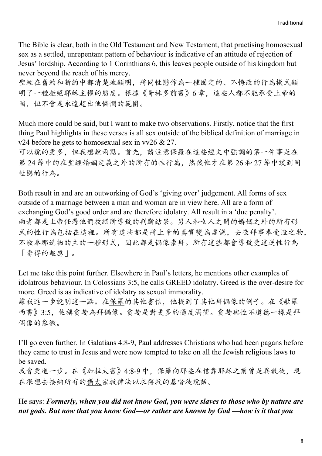The Bible is clear, both in the Old Testament and New Testament, that practising homosexual sex as a settled, unrepentant pattern of behaviour is indicative of an attitude of rejection of Jesus' lordship. According to 1 Corinthians 6, this leaves people outside of his kingdom but never beyond the reach of his mercy.

聖經在舊約和新約中都清楚地顯明,將同性戀作為一種固定的、不悔改的行為模式顯 明了一種拒絕耶穌主權的態度。根據《哥林多前書》6 章,這些人都不能承受上帝的 國,但不會是永遠超出他憐憫的範圍。

Much more could be said, but I want to make two observations. Firstly, notice that the first thing Paul highlights in these verses is all sex outside of the biblical definition of marriage in v24 before he gets to homosexual sex in vv26  $& 27$ .

可以說的更多,但我想說兩點。首先,請注意保羅在這些經文中強調的第一件事是在 第 24 節中的在聖經婚姻定義之外的所有的性行為,然後他才在第 26 和 27 節中談到同 性戀的行為。

Both result in and are an outworking of God's 'giving over' judgement. All forms of sex outside of a marriage between a man and woman are in view here. All are a form of exchanging God's good order and are therefore idolatry. All result in a 'due penalty'. 兩者都是上帝任憑他們放縱所導致的判斷結果。男人和女人之間的婚姻之外的所有形 式的性行為包括在這裡。所有這些都是將上帝的真實變為虛謊,去敬拜事奉受造之物, 不敬奉那造物的主的一種形式,因此都是偶像崇拜。所有這些都會導致受這逆性行為 「當得的報應」。

Let me take this point further. Elsewhere in Paul's letters, he mentions other examples of idolatrous behaviour. In Colossians 3:5, he calls GREED idolatry. Greed is the over-desire for more. Greed is as indicative of idolatry as sexual immorality.

讓我進一步說明這一點。在保羅的其他書信,他提到了其他拜偶像的例子。在《歌羅 西書》3:5,他稱貪婪為拜偶像。貪婪是對更多的過度渴望。貪婪與性不道德一樣是拜 偶像的象徵。

I'll go even further. In Galatians 4:8-9, Paul addresses Christians who had been pagans before they came to trust in Jesus and were now tempted to take on all the Jewish religious laws to be saved.

我會更進一步。在《加拉太書》4:8-9 中,保羅向那些在信靠耶穌之前曾是異教徒,現 在很想去接納所有的猶太宗教律法以求得救的基督徒說話。

He says: *Formerly, when you did not know God, you were slaves to those who by nature are not gods. But now that you know God—or rather are known by God —how is it that you*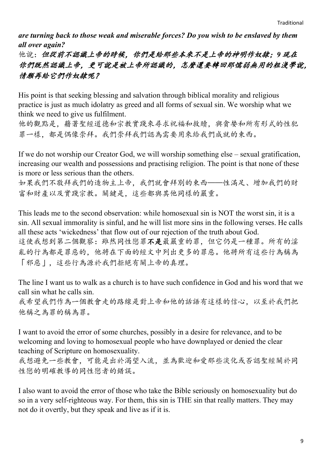*are turning back to those weak and miserable forces? Do you wish to be enslaved by them all over again?*

他說:但從前不認識上帝的時候,你們是給那些本來不是上帝的神明作奴隸;*9* 現在 你們既然認識上帝,更可說是被上帝所認識的,怎麼還要轉回那懦弱無用的粗淺學說, 情願再給它們作奴隸呢?

His point is that seeking blessing and salvation through biblical morality and religious practice is just as much idolatry as greed and all forms of sexual sin. We worship what we think we need to give us fulfilment.

他的觀點是,藉著聖經道德和宗教實踐來尋求祝福和救贖,與貪婪和所有形式的性犯 罪一樣。都是偶像崇拜。我們崇拜我們認為需要用來給我們成就的東西。

If we do not worship our Creator God, we will worship something else – sexual gratification, increasing our wealth and possessions and practising religion. The point is that none of these is more or less serious than the others.

如果我們不敬拜我們的造物主上帝,我們就會拜別的東西——性滿足、增加我們的財 富和財產以及實踐宗教。關鍵是,這些都與其他同樣的嚴重。

This leads me to the second observation: while homosexual sin is NOT the worst sin, it is a sin. All sexual immorality is sinful, and he will list more sins in the following verses. He calls all these acts 'wickedness' that flow out of our rejection of the truth about God. 這使我想到第二個觀察:雖然同性戀罪不是最嚴重的罪,但它仍是一種罪。所有的淫 亂的行為都是罪惡的,他將在下面的經文中列出更多的罪惡。他將所有這些行為稱為 「邪惡」,這些行為源於我們拒絕有關上帝的真理。

The line I want us to walk as a church is to have such confidence in God and his word that we call sin what he calls sin.

我希望我們作為一個教會走的路線是對上帝和他的話語有這樣的信心,以至於我們把 他稱之為罪的稱為罪。

I want to avoid the error of some churches, possibly in a desire for relevance, and to be welcoming and loving to homosexual people who have downplayed or denied the clear teaching of Scripture on homosexuality.

我想避免一些教會,可能是出於渴望入流,並為歡迎和愛那些淡化或否認聖經關於同 性戀的明確教導的同性戀者的錯誤。

I also want to avoid the error of those who take the Bible seriously on homosexuality but do so in a very self-righteous way. For them, this sin is THE sin that really matters. They may not do it overtly, but they speak and live as if it is.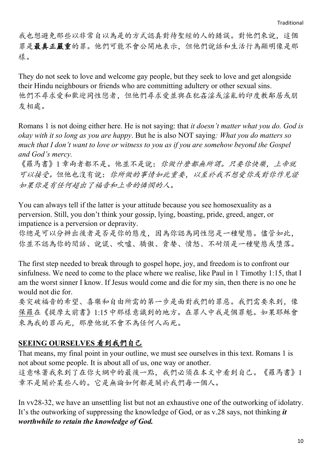我也想避免那些以非常自以為是的方式認真對待聖經的人的錯誤。對他們來說,這個 罪是最真正嚴重的罪。他們可能不會公開地表示,但他們說話和生活行為顯明像是那 樣。

They do not seek to love and welcome gay people, but they seek to love and get alongside their Hindu neighbours or friends who are committing adultery or other sexual sins. 他們不尋求愛和歡迎同性戀者,但他們尋求愛並與在犯姦淫或淫亂的印度教鄰居或朋 友相處。

Romans 1 is not doing either here. He is not saying: that *it doesn't matter what you do. God is okay with it so long as you are happy*. But he is also NOT saying*: What you do matters so much that I don't want to love or witness to you as if you are somehow beyond the Gospel and God's mercy.*

《羅馬書》1 章兩者都不是。他並不是說:你做什麼都無所謂。只要你快樂,上帝就 可以接受。但他也沒有說:你所做的事情如此重要,以至於我不想愛你或對你作見證 如果你是有任何超出了福音和上帝的憐憫的人。

You can always tell if the latter is your attitude because you see homosexuality as a perversion. Still, you don't think your gossip, lying, boasting, pride, greed, anger, or impatience is a perversion or depravity.

你總是可以分辨出後者是否是你的態度,因為你認為同性戀是一種變態。儘管如此, 你並不認為你的閒話、說謊、吹噓、驕傲、貪婪、憤怒、不耐煩是一種變態或墮落。

The first step needed to break through to gospel hope, joy, and freedom is to confront our sinfulness. We need to come to the place where we realise, like Paul in 1 Timothy 1:15, that I am the worst sinner I know. If Jesus would come and die for my sin, then there is no one he would not die for.

要突破福音的希望、喜樂和自由所需的第一步是面對我們的罪惡。我們需要來到,像 保羅在《提摩太前書》1:15 中那樣意識到的地方。在罪人中我是個罪魁。如果耶穌會 來為我的罪而死,那麼他就不會不為任何人而死。

## **SEEING OURSELVES** 看到我們自己

That means, my final point in your outline, we must see ourselves in this text. Romans 1 is not about some people. It is about all of us, one way or another. 這意味著我來到了在你大綱中的最後一點,我們必須在本文中看到自己。《羅馬書》1 章不是關於某些人的。它是無論如何都是關於我們每一個人。

In vv28-32, we have an unsettling list but not an exhaustive one of the outworking of idolatry. It's the outworking of suppressing the knowledge of God, or as v.28 says, not thinking *it worthwhile to retain the knowledge of God.*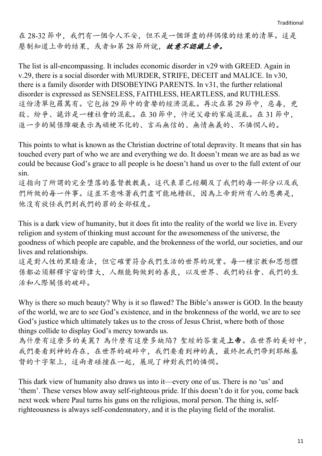在 28-32 節中,我們有一個令人不安,但不是一個詳盡的拜偶像的結果的清單。這是 壓制知道上帝的結果,或者如第28節所說,故意不認識上帝。

The list is all-encompassing. It includes economic disorder in v29 with GREED. Again in v.29, there is a social disorder with MURDER, STRIFE, DECEIT and MALICE. In v30, there is a family disorder with DISOBEYING PARENTS. In v31, the further relational disorder is expressed as SENSELESS, FAITHLESS, HEARTLESS, and RUTHLESS. 這份清單包羅萬有。它包括29節中的貪婪的經濟混亂。再次在第29節中,惡毒,兇 殺、紛爭、詭詐是一種社會的混亂。在 30 節中,忤逆父母的家庭混亂。在 31 節中, 進一步的關係障礙表示為頑梗不化的、言而無信的、無情無義的、不憐憫人的。

This points to what is known as the Christian doctrine of total depravity. It means that sin has touched every part of who we are and everything we do. It doesn't mean we are as bad as we could be because God's grace to all people is he doesn't hand us over to the full extent of our sin.

這指向了所謂的完全墮落的基督教教義。這代表罪已經觸及了我們的每一部分以及我 們所做的每一件事。這並不意味著我們盡可能地糟糕,因為上帝對所有人的恩典是, 他沒有放任我們到我們的罪的全部程度。

This is a dark view of humanity, but it does fit into the reality of the world we live in. Every religion and system of thinking must account for the awesomeness of the universe, the goodness of which people are capable, and the brokenness of the world, our societies, and our lives and relationships.

這是對人性的黑暗看法,但它確實符合我們生活的世界的現實。每一種宗教和思想體 係都必須解釋宇宙的偉大,人類能夠做到的善良,以及世界、我們的社會、我們的生 活和人際關係的破碎。

Why is there so much beauty? Why is it so flawed? The Bible's answer is GOD. In the beauty of the world, we are to see God's existence, and in the brokenness of the world, we are to see God's justice which ultimately takes us to the cross of Jesus Christ, where both of those things collide to display God's mercy towards us.

為什麼有這麼多的美麗?為什麼有這麼多缺陷?聖經的答案是上帝。在世界的美好中, 我們要看到神的存在,在世界的破碎中,我們要看到神的義,最終把我們帶到耶穌基 督的十字架上,這兩者碰撞在一起,展現了神對我們的憐憫。

This dark view of humanity also draws us into it—every one of us. There is no 'us' and 'them'. These verses blow away self-righteous pride. If this doesn't do it for you, come back next week where Paul turns his guns on the religious, moral person. The thing is, selfrighteousness is always self-condemnatory, and it is the playing field of the moralist.